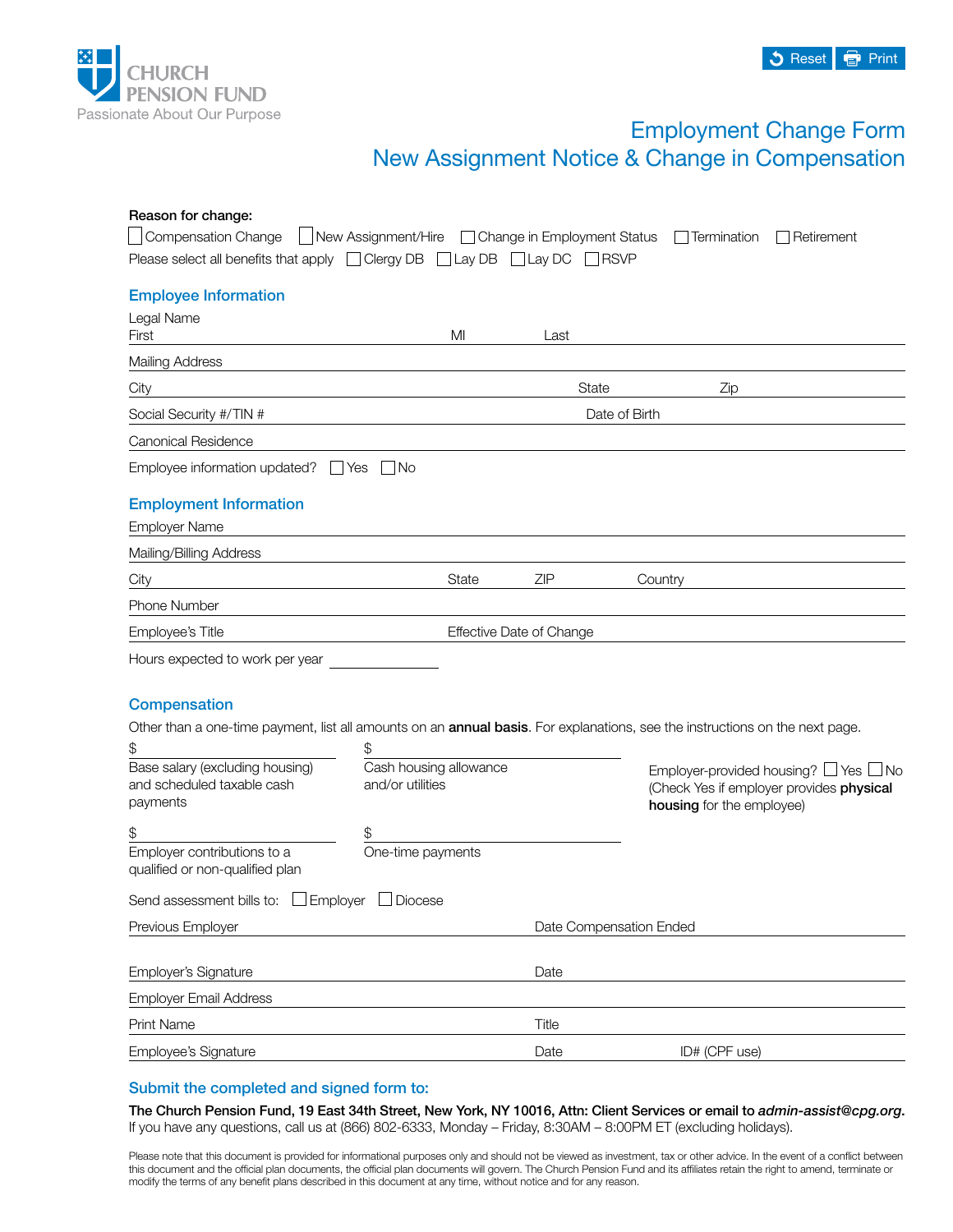

# Employment Change Form New Assignment Notice & Change in Compensation

| Reason for change:                                                         |                                                                                           |                          |                                                                                                                                      |  |
|----------------------------------------------------------------------------|-------------------------------------------------------------------------------------------|--------------------------|--------------------------------------------------------------------------------------------------------------------------------------|--|
| <b>Compensation Change</b>                                                 | New Assignment/Hire □ Change in Employment Status                                         |                          | Retirement<br>Termination                                                                                                            |  |
| Please select all benefits that apply □ Clergy DB □ Lay DB □ Lay DC □ RSVP |                                                                                           |                          |                                                                                                                                      |  |
| <b>Employee Information</b>                                                |                                                                                           |                          |                                                                                                                                      |  |
| Legal Name                                                                 |                                                                                           |                          |                                                                                                                                      |  |
| First                                                                      | MI                                                                                        | Last                     |                                                                                                                                      |  |
| <b>Mailing Address</b>                                                     |                                                                                           |                          |                                                                                                                                      |  |
| City                                                                       | the control of the control of the control of the control of the control of the control of | State                    | Zip                                                                                                                                  |  |
| Social Security #/TIN #                                                    |                                                                                           | Date of Birth            |                                                                                                                                      |  |
| <b>Canonical Residence</b>                                                 |                                                                                           |                          |                                                                                                                                      |  |
| Employee information updated? $\Box$ Yes $\Box$ No                         |                                                                                           |                          |                                                                                                                                      |  |
|                                                                            |                                                                                           |                          |                                                                                                                                      |  |
| <b>Employment Information</b><br><b>Employer Name</b>                      |                                                                                           |                          |                                                                                                                                      |  |
|                                                                            |                                                                                           |                          |                                                                                                                                      |  |
| Mailing/Billing Address                                                    |                                                                                           |                          |                                                                                                                                      |  |
| City                                                                       | State                                                                                     | ZIP                      | Country                                                                                                                              |  |
| Phone Number                                                               |                                                                                           |                          |                                                                                                                                      |  |
| Employee's Title                                                           |                                                                                           | Effective Date of Change |                                                                                                                                      |  |
| Hours expected to work per year                                            |                                                                                           |                          |                                                                                                                                      |  |
|                                                                            |                                                                                           |                          |                                                                                                                                      |  |
| <b>Compensation</b>                                                        |                                                                                           |                          |                                                                                                                                      |  |
|                                                                            |                                                                                           |                          | Other than a one-time payment, list all amounts on an <b>annual basis</b> . For explanations, see the instructions on the next page. |  |
| \$                                                                         | \$                                                                                        |                          |                                                                                                                                      |  |
| Base salary (excluding housing)                                            | Cash housing allowance                                                                    |                          | Employer-provided housing? $\Box$ Yes $\Box$ No                                                                                      |  |
| and scheduled taxable cash<br>payments                                     | and/or utilities                                                                          |                          | (Check Yes if employer provides physical<br>housing for the employee)                                                                |  |
|                                                                            |                                                                                           |                          |                                                                                                                                      |  |
| \$<br>Employer contributions to a                                          | \$<br>One-time payments                                                                   |                          |                                                                                                                                      |  |
| qualified or non-qualified plan                                            |                                                                                           |                          |                                                                                                                                      |  |
| Employer<br>Send assessment bills to:                                      | Diocese                                                                                   |                          |                                                                                                                                      |  |
| Previous Employer                                                          |                                                                                           |                          | Date Compensation Ended                                                                                                              |  |
|                                                                            |                                                                                           |                          |                                                                                                                                      |  |
| Employer's Signature                                                       |                                                                                           | Date                     |                                                                                                                                      |  |
| <b>Employer Email Address</b>                                              |                                                                                           |                          |                                                                                                                                      |  |
| Print Name                                                                 |                                                                                           | Title                    |                                                                                                                                      |  |
| Employee's Signature                                                       |                                                                                           | Date                     | ID# (CPF use)                                                                                                                        |  |

## Submit the completed and signed form to:

The Church Pension Fund, 19 East 34th Street, New York, NY 10016, Attn: Client Services or email to *[admin-assist@cpg.org](mailto:admin-assist%40cpg.org?subject=)*. If you have any questions, call us at (866) 802-6333, Monday – Friday, 8:30AM – 8:00PM ET (excluding holidays).

Please note that this document is provided for informational purposes only and should not be viewed as investment, tax or other advice. In the event of a conflict between this document and the official plan documents, the official plan documents will govern. The Church Pension Fund and its affiliates retain the right to amend, terminate or modify the terms of any benefit plans described in this document at any time, without notice and for any reason.